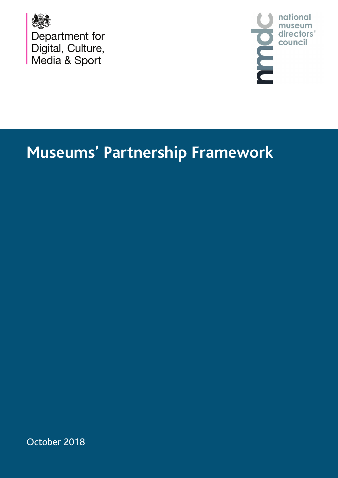



## **Museums' Partnership Framework**

October 2018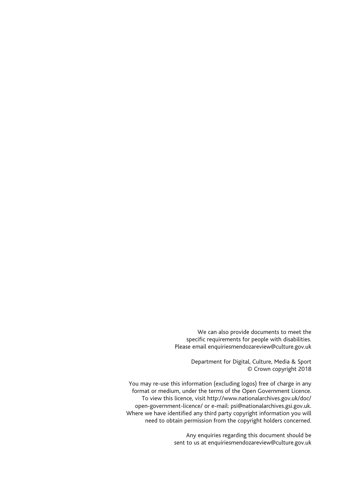We can also provide documents to meet the specific requirements for people with disabilities. Please email enquiriesmendozareview@culture.gov.uk

> Department for Digital, Culture, Media & Sport © Crown copyright 2018

You may re-use this information (excluding logos) free of charge in any format or medium, under the terms of the Open Government Licence. To view this licence, visit http://www.nationalarchives.gov.uk/doc/ open-government-licence/ or e-mail: psi@nationalarchives.gsi.gov.uk. Where we have identified any third party copyright information you will need to obtain permission from the copyright holders concerned.

> Any enquiries regarding this document should be sent to us at enquiriesmendozareview@culture.gov.uk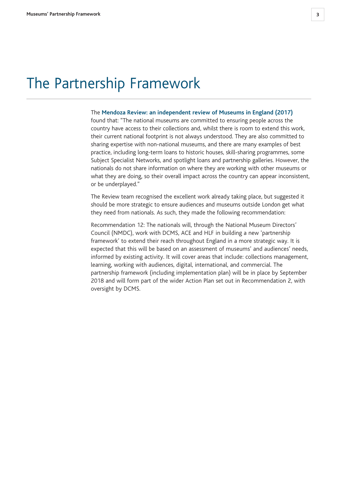## The Partnership Framework

## The **Mendoza Review: an independent review of Museums in England (2017)**

found that: "The national museums are committed to ensuring people across the country have access to their collections and, whilst there is room to extend this work, their current national footprint is not always understood. They are also committed to sharing expertise with non-national museums, and there are many examples of best practice, including long-term loans to historic houses, skill-sharing programmes, some Subject Specialist Networks, and spotlight loans and partnership galleries. However, the nationals do not share information on where they are working with other museums or what they are doing, so their overall impact across the country can appear inconsistent, or be underplayed."

The Review team recognised the excellent work already taking place, but suggested it should be more strategic to ensure audiences and museums outside London get what they need from nationals. As such, they made the following recommendation:

Recommendation 12: The nationals will, through the National Museum Directors' Council (NMDC), work with DCMS, ACE and HLF in building a new 'partnership framework' to extend their reach throughout England in a more strategic way. It is expected that this will be based on an assessment of museums' and audiences' needs, informed by existing activity. It will cover areas that include: collections management, learning, working with audiences, digital, international, and commercial. The partnership framework (including implementation plan) will be in place by September 2018 and will form part of the wider Action Plan set out in Recommendation 2, with oversight by DCMS.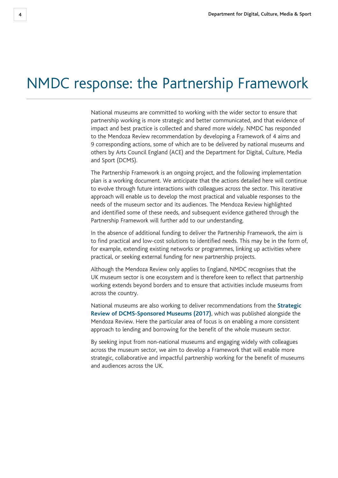## NMDC response: the Partnership Framework

National museums are committed to working with the wider sector to ensure that partnership working is more strategic and better communicated, and that evidence of impact and best practice is collected and shared more widely. NMDC has responded to the Mendoza Review recommendation by developing a Framework of 4 aims and 9 corresponding actions, some of which are to be delivered by national museums and others by Arts Council England (ACE) and the Department for Digital, Culture, Media and Sport (DCMS).

The Partnership Framework is an ongoing project, and the following implementation plan is a working document. We anticipate that the actions detailed here will continue to evolve through future interactions with colleagues across the sector. This iterative approach will enable us to develop the most practical and valuable responses to the needs of the museum sector and its audiences. The Mendoza Review highlighted and identified some of these needs, and subsequent evidence gathered through the Partnership Framework will further add to our understanding.

In the absence of additional funding to deliver the Partnership Framework, the aim is to find practical and low-cost solutions to identified needs. This may be in the form of, for example, extending existing networks or programmes, linking up activities where practical, or seeking external funding for new partnership projects.

Although the Mendoza Review only applies to England, NMDC recognises that the UK museum sector is one ecosystem and is therefore keen to reflect that partnership working extends beyond borders and to ensure that activities include museums from across the country.

National museums are also working to deliver recommendations from the **Strategic Review of DCMS-Sponsored Museums (2017)**, which was published alongside the Mendoza Review. Here the particular area of focus is on enabling a more consistent approach to lending and borrowing for the benefit of the whole museum sector.

By seeking input from non-national museums and engaging widely with colleagues across the museum sector, we aim to develop a Framework that will enable more strategic, collaborative and impactful partnership working for the benefit of museums and audiences across the UK.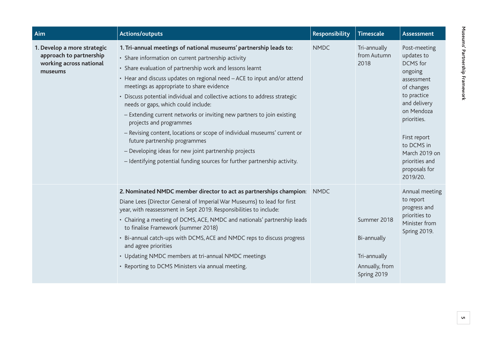| Aim                                                                                          | <b>Actions/outputs</b>                                                                                                                                                                                                                                                                                                                                                                                                                                                                                                                                                                                                                                                                                                                                                                      | <b>Responsibility</b> | <b>Timescale</b>                                                            | <b>Assessment</b>                                                                                                                                                                                                                       |
|----------------------------------------------------------------------------------------------|---------------------------------------------------------------------------------------------------------------------------------------------------------------------------------------------------------------------------------------------------------------------------------------------------------------------------------------------------------------------------------------------------------------------------------------------------------------------------------------------------------------------------------------------------------------------------------------------------------------------------------------------------------------------------------------------------------------------------------------------------------------------------------------------|-----------------------|-----------------------------------------------------------------------------|-----------------------------------------------------------------------------------------------------------------------------------------------------------------------------------------------------------------------------------------|
| 1. Develop a more strategic<br>approach to partnership<br>working across national<br>museums | 1. Tri-annual meetings of national museums' partnership leads to:<br>• Share information on current partnership activity<br>• Share evaluation of partnership work and lessons learnt<br>• Hear and discuss updates on regional need - ACE to input and/or attend<br>meetings as appropriate to share evidence<br>• Discuss potential individual and collective actions to address strategic<br>needs or gaps, which could include:<br>- Extending current networks or inviting new partners to join existing<br>projects and programmes<br>- Revising content, locations or scope of individual museums' current or<br>future partnership programmes<br>- Developing ideas for new joint partnership projects<br>- Identifying potential funding sources for further partnership activity. | <b>NMDC</b>           | Tri-annually<br>from Autumn<br>2018                                         | Post-meeting<br>updates to<br>DCMS for<br>ongoing<br>assessment<br>of changes<br>to practice<br>and delivery<br>on Mendoza<br>priorities.<br>First report<br>to DCMS in<br>March 2019 on<br>priorities and<br>proposals for<br>2019/20. |
|                                                                                              | 2. Nominated NMDC member director to act as partnerships champion:<br>Diane Lees (Director General of Imperial War Museums) to lead for first<br>year, with reassessment in Sept 2019. Responsibilities to include:<br>• Chairing a meeting of DCMS, ACE, NMDC and nationals' partnership leads<br>to finalise Framework (summer 2018)<br>• Bi-annual catch-ups with DCMS, ACE and NMDC reps to discuss progress<br>and agree priorities<br>• Updating NMDC members at tri-annual NMDC meetings<br>• Reporting to DCMS Ministers via annual meeting.                                                                                                                                                                                                                                        | <b>NMDC</b>           | Summer 2018<br>Bi-annually<br>Tri-annually<br>Annually, from<br>Spring 2019 | Annual meeting<br>to report<br>progress and<br>priorities to<br>Minister from<br>Spring 2019.                                                                                                                                           |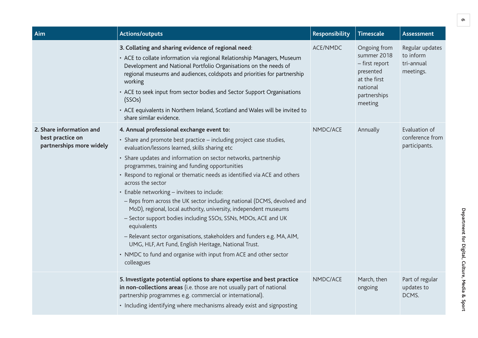| Aim                                                                      | <b>Actions/outputs</b>                                                                                                                                                                                                                                                                                                                                                                                                                                                                                                                                                                                                                                                                                                                                                                                                                                                                       | <b>Responsibility</b> | <b>Timescale</b>                                                                                                  | <b>Assessment</b>                                       |
|--------------------------------------------------------------------------|----------------------------------------------------------------------------------------------------------------------------------------------------------------------------------------------------------------------------------------------------------------------------------------------------------------------------------------------------------------------------------------------------------------------------------------------------------------------------------------------------------------------------------------------------------------------------------------------------------------------------------------------------------------------------------------------------------------------------------------------------------------------------------------------------------------------------------------------------------------------------------------------|-----------------------|-------------------------------------------------------------------------------------------------------------------|---------------------------------------------------------|
|                                                                          | 3. Collating and sharing evidence of regional need:<br>• ACE to collate information via regional Relationship Managers, Museum<br>Development and National Portfolio Organisations on the needs of<br>regional museums and audiences, coldspots and priorities for partnership<br>working<br>• ACE to seek input from sector bodies and Sector Support Organisations<br>(SSOs)<br>• ACE equivalents in Northern Ireland, Scotland and Wales will be invited to<br>share similar evidence.                                                                                                                                                                                                                                                                                                                                                                                                    | ACE/NMDC              | Ongoing from<br>summer 2018<br>- first report<br>presented<br>at the first<br>national<br>partnerships<br>meeting | Regular updates<br>to inform<br>tri-annual<br>meetings. |
| 2. Share information and<br>best practice on<br>partnerships more widely | 4. Annual professional exchange event to:<br>· Share and promote best practice - including project case studies,<br>evaluation/lessons learned, skills sharing etc<br>• Share updates and information on sector networks, partnership<br>programmes, training and funding opportunities<br>• Respond to regional or thematic needs as identified via ACE and others<br>across the sector<br>· Enable networking - invitees to include:<br>- Reps from across the UK sector including national (DCMS, devolved and<br>MoD), regional, local authority, university, independent museums<br>- Sector support bodies including SSOs, SSNs, MDOs, ACE and UK<br>equivalents<br>- Relevant sector organisations, stakeholders and funders e.g. MA, AIM,<br>UMG, HLF, Art Fund, English Heritage, National Trust.<br>• NMDC to fund and organise with input from ACE and other sector<br>colleagues | NMDC/ACE              | Annually                                                                                                          | Evaluation of<br>conference from<br>participants.       |
|                                                                          | 5. Investigate potential options to share expertise and best practice<br>in non-collections areas (i.e. those are not usually part of national<br>partnership programmes e.g. commercial or international).<br>• Including identifying where mechanisms already exist and signposting                                                                                                                                                                                                                                                                                                                                                                                                                                                                                                                                                                                                        | NMDC/ACE              | March, then<br>ongoing                                                                                            | Part of regular<br>updates to<br>DCMS.                  |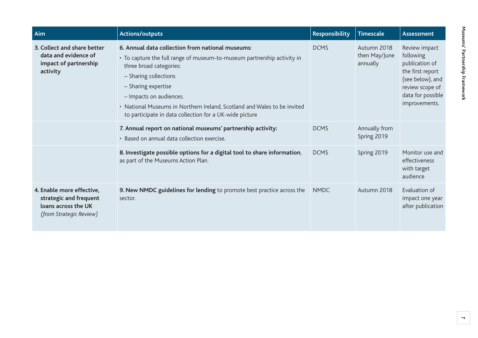| Aim                                                                                                          | <b>Actions/outputs</b>                                                                                                                                                                                                                                                                                                                                                   | Responsibility | <b>Timescale</b>                         | <b>Assessment</b>                                                                                                                             |
|--------------------------------------------------------------------------------------------------------------|--------------------------------------------------------------------------------------------------------------------------------------------------------------------------------------------------------------------------------------------------------------------------------------------------------------------------------------------------------------------------|----------------|------------------------------------------|-----------------------------------------------------------------------------------------------------------------------------------------------|
| 3. Collect and share better<br>data and evidence of<br>impact of partnership<br>activity                     | 6. Annual data collection from national museums:<br>• To capture the full range of museum-to-museum partnership activity in<br>three broad categories:<br>- Sharing collections<br>- Sharing expertise<br>- Impacts on audiences.<br>• National Museums in Northern Ireland, Scotland and Wales to be invited<br>to participate in data collection for a UK-wide picture | <b>DCMS</b>    | Autumn 2018<br>then May/June<br>annually | Review impact<br>following<br>publication of<br>the first report<br>(see below), and<br>review scope of<br>data for possible<br>improvements. |
|                                                                                                              | 7. Annual report on national museums' partnership activity:<br>• Based on annual data collection exercise.                                                                                                                                                                                                                                                               | <b>DCMS</b>    | Annually from<br>Spring 2019             |                                                                                                                                               |
|                                                                                                              | 8. Investigate possible options for a digital tool to share information,<br>as part of the Museums Action Plan.                                                                                                                                                                                                                                                          | <b>DCMS</b>    | Spring 2019                              | Monitor use and<br>effectiveness<br>with target<br>audience                                                                                   |
| 4. Enable more effective,<br>strategic and frequent<br>loans across the UK<br><i>(from Strategic Review)</i> | 9. New NMDC guidelines for lending to promote best practice across the<br>sector.                                                                                                                                                                                                                                                                                        | <b>NMDC</b>    | Autumn 2018                              | Evaluation of<br>impact one year<br>after publication                                                                                         |